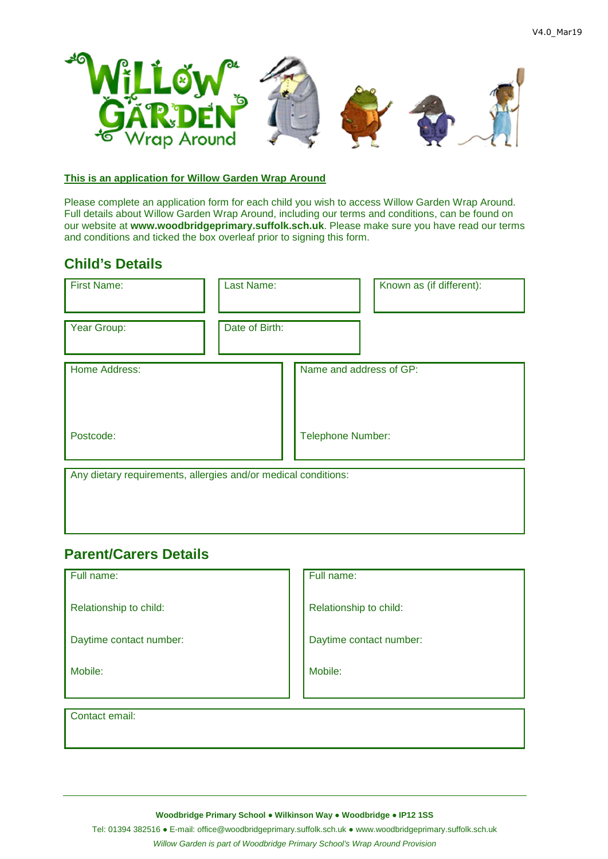

### **This is an application for Willow Garden Wrap Around**

Please complete an application form for each child you wish to access Willow Garden Wrap Around. Full details about Willow Garden Wrap Around, including our terms and conditions, can be found on our website at **www.woodbridgeprimary.suffolk.sch.uk**. Please make sure you have read our terms and conditions and ticked the box overleaf prior to signing this form.

## **Child's Details**

| <b>First Name:</b>                                             | Last Name:     |                          | Known as (if different): |  |  |  |
|----------------------------------------------------------------|----------------|--------------------------|--------------------------|--|--|--|
| Year Group:                                                    | Date of Birth: |                          |                          |  |  |  |
| Home Address:                                                  |                | Name and address of GP:  |                          |  |  |  |
| Postcode:                                                      |                | <b>Telephone Number:</b> |                          |  |  |  |
| Any dietary requirements, allergies and/or medical conditions: |                |                          |                          |  |  |  |

## **Parent/Carers Details**

Full name: Full name:

Relationship to child: Relationship to child:

Daytime contact number: <br>  $\Box$  Daytime contact number:

Mobile: Mobile:

Contact email:

**Woodbridge Primary School ● Wilkinson Way ● Woodbridge ● IP12 1SS**

Tel: 01394 382516 ● E-mail: office@woodbridgeprimary.suffolk.sch.uk ● www.woodbridgeprimary.suffolk.sch.uk

*Willow Garden is part of Woodbridge Primary School's Wrap Around Provision*